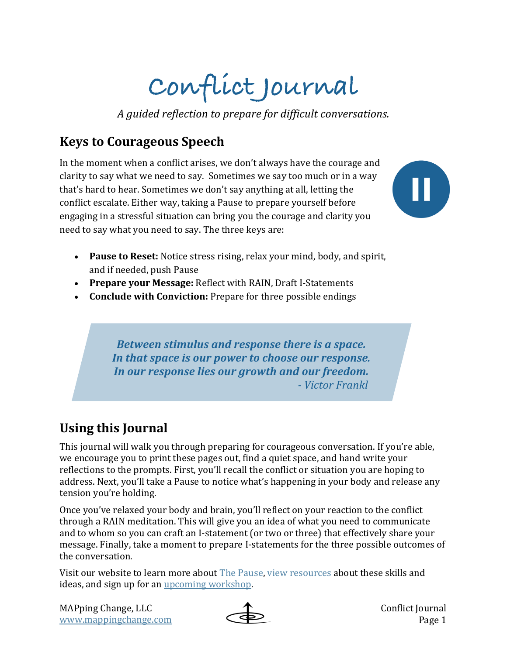# **Conflict Journal**

*A guided reflection to prepare for difficult conversations.*

### **Keys to Courageous Speech**

In the moment when a conflict arises, we don't always have the courage and clarity to say what we need to say. Sometimes we say too much or in a way that's hard to hear. Sometimes we don't say anything at all, letting the conflict escalate. Either way, taking a Pause to prepare yourself before engaging in a stressful situation can bring you the courage and clarity you need to say what you need to say. The three keys are:



- Pause to Reset: Notice stress rising, relax your mind, body, and spirit, and if needed, push Pause
- Prepare your Message: Reflect with RAIN, Draft I-Statements
- **Conclude with Conviction:** Prepare for three possible endings

*Between stimulus and response there is a space.* In that space is our power to choose our response. In our response lies our growth and our freedom.  *- Victor Frankl*

## **Using this Journal**

This journal will walk you through preparing for courageous conversation. If you're able, we encourage you to print these pages out, find a quiet space, and hand write your reflections to the prompts. First, you'll recall the conflict or situation you are hoping to address. Next, you'll take a Pause to notice what's happening in your body and release any tension you're holding.

Once you've relaxed your body and brain, you'll reflect on your reaction to the conflict through a RAIN meditation. This will give you an idea of what you need to communicate and to whom so you can craft an I-statement (or two or three) that effectively share your message. Finally, take a moment to prepare I-statements for the three possible outcomes of the conversation.

Visit our website to learn more about The Pause, view resources about these skills and ideas, and sign up for an upcoming workshop.



Conflict Journal Page 1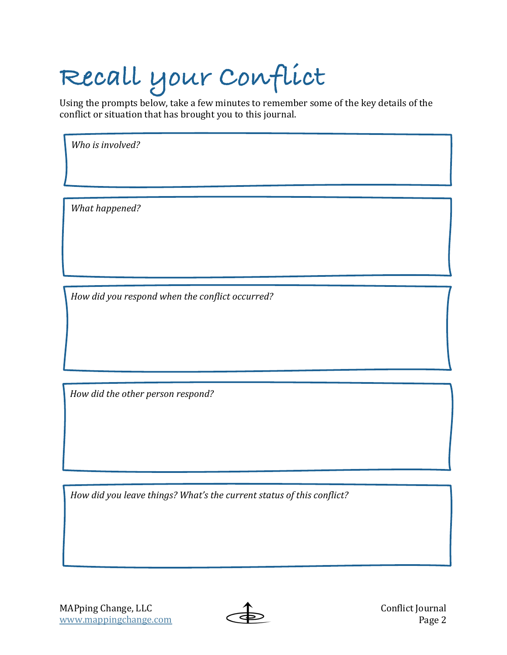# **Recall your Conflict**

Using the prompts below, take a few minutes to remember some of the key details of the conflict or situation that has brought you to this journal.

Who is involved?

*What happened?* 

*How did you respond when the conflict occurred?*

How did the other person respond?

*How did you leave things? What's the current status of this conflict?* 

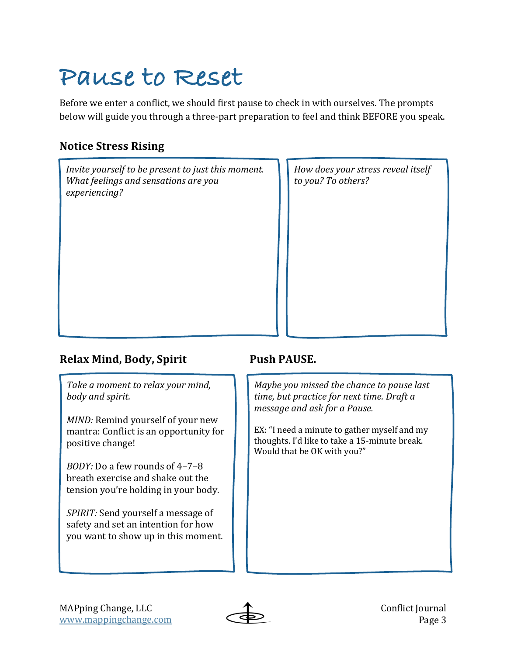## **Pause to Reset**

Before we enter a conflict, we should first pause to check in with ourselves. The prompts below will guide you through a three-part preparation to feel and think BEFORE you speak.

### **Notice Stress Rising**

*Invite* yourself to be present to just this moment. *What feelings and sensations are you experiencing?*

*How does your stress reveal itself to you? To others?*

### **Relax Mind, Body, Spirit Push PAUSE.**

Take a moment to relax your mind, *body and spirit.* 

*MIND:* Remind yourself of your new mantra: Conflict is an opportunity for positive change!

*BODY:* Do a few rounds of 4-7-8 breath exercise and shake out the tension you're holding in your body.

*SPIRIT:* Send yourself a message of safety and set an intention for how you want to show up in this moment.

*Maybe you missed the chance to pause last time, but practice for next time. Draft a message and ask for a Pause.* 

EX: "I need a minute to gather myself and my thoughts. I'd like to take a 15-minute break. Would that be OK with you?"



Conflict Journal Page 3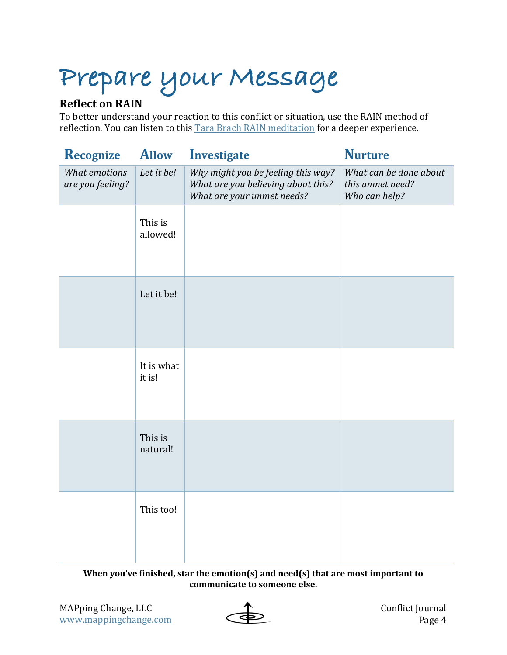## **Prepare your Message**

### **Reflect on RAIN**

To better understand your reaction to this conflict or situation, use the RAIN method of reflection. You can listen to this Tara Brach RAIN meditation for a deeper experience.

| Recognize                         | <b>Allow</b>         | Investigate                                                                                            | <b>Nurture</b>                                              |
|-----------------------------------|----------------------|--------------------------------------------------------------------------------------------------------|-------------------------------------------------------------|
| What emotions<br>are you feeling? | Let it be!           | Why might you be feeling this way?<br>What are you believing about this?<br>What are your unmet needs? | What can be done about<br>this unmet need?<br>Who can help? |
|                                   | This is<br>allowed!  |                                                                                                        |                                                             |
|                                   | Let it be!           |                                                                                                        |                                                             |
|                                   | It is what<br>it is! |                                                                                                        |                                                             |
|                                   | This is<br>natural!  |                                                                                                        |                                                             |
|                                   | This too!            |                                                                                                        |                                                             |

**When you've finished, star the emotion(s) and need(s) that are most important to** communicate to someone else.

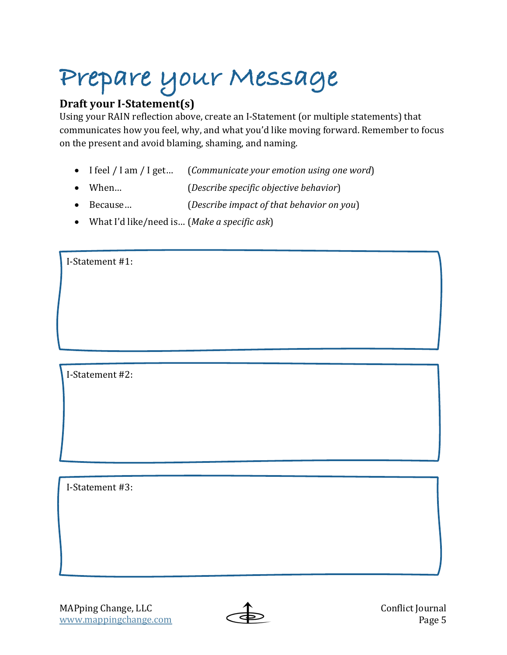# **Prepare your Message**

### **Draft your I-Statement(s)**

Using your RAIN reflection above, create an I-Statement (or multiple statements) that communicates how you feel, why, and what you'd like moving forward. Remember to focus on the present and avoid blaming, shaming, and naming.

- I feel / I am / I get... (*Communicate your emotion using one word*)
- When… (*Describe specific objective behavior*)
- Because... *(Describe impact of that behavior on you*)
- What I'd like/need is... (*Make a specific ask*)

I-Statement #1:

I-Statement #2:

I-Statement #3: